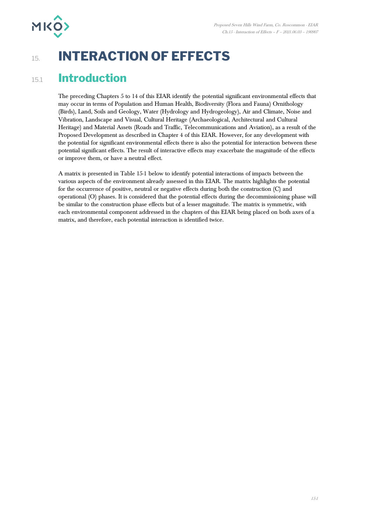

# 15. **INTERACTION OF EFFECTS**

### 15.1 **Introduction**

The preceding Chapters 5 to 14 of this EIAR identify the potential significant environmental effects that may occur in terms of Population and Human Health, Biodiversity (Flora and Fauna) Ornithology (Birds), Land, Soils and Geology, Water (Hydrology and Hydrogeology), Air and Climate, Noise and Vibration, Landscape and Visual, Cultural Heritage (Archaeological, Architectural and Cultural Heritage) and Material Assets (Roads and Traffic, Telecommunications and Aviation), as a result of the Proposed Development as described in Chapter 4 of this EIAR. However, for any development with the potential for significant environmental effects there is also the potential for interaction between these potential significant effects. The result of interactive effects may exacerbate the magnitude of the effects or improve them, or have a neutral effect.

A matrix is presented in [Table 15-1](#page-1-0) below to identify potential interactions of impacts between the various aspects of the environment already assessed in this EIAR. The matrix highlights the potential for the occurrence of positive, neutral or negative effects during both the construction (C) and operational (O) phases. It is considered that the potential effects during the decommissioning phase will be similar to the construction phase effects but of a lesser magnitude. The matrix is symmetric, with each environmental component addressed in the chapters of this EIAR being placed on both axes of a matrix, and therefore, each potential interaction is identified twice.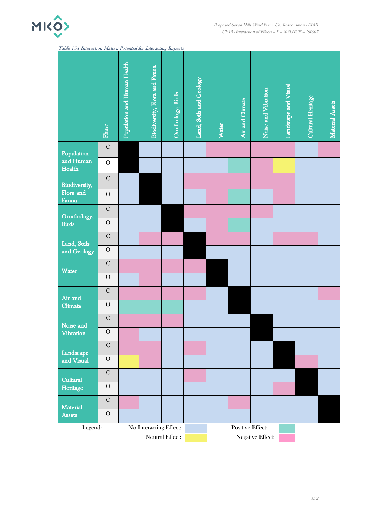

<span id="page-1-0"></span>

| Table 15-1 Interaction Matrix: Potential for Interacting Impacts |
|------------------------------------------------------------------|
|------------------------------------------------------------------|

|                                                                                     | Phase                    | Population and Human Health | Biodiversity, Flora and Fauna | Omithology; Birds | Land, Soils and Geology | <b>Water</b> | Air and Climate | Noise and Vibration | Landscape and Visual | Cultural Heritage | Material Assets |
|-------------------------------------------------------------------------------------|--------------------------|-----------------------------|-------------------------------|-------------------|-------------------------|--------------|-----------------|---------------------|----------------------|-------------------|-----------------|
| Population                                                                          | $\mathbf C$              |                             |                               |                   |                         |              |                 |                     |                      |                   |                 |
| and Human<br>Health                                                                 | $\overline{O}$           |                             |                               |                   |                         |              |                 |                     |                      |                   |                 |
| Biodiversity,<br>Flora and<br>Fauna                                                 | $\mathbf C$              |                             |                               |                   |                         |              |                 |                     |                      |                   |                 |
|                                                                                     | ${\mathcal O}$           |                             |                               |                   |                         |              |                 |                     |                      |                   |                 |
| Ornithology,<br><b>Birds</b>                                                        | $\overline{C}$           |                             |                               |                   |                         |              |                 |                     |                      |                   |                 |
|                                                                                     | $\overline{O}$           |                             |                               |                   |                         |              |                 |                     |                      |                   |                 |
| Land, Soils<br>and Geology                                                          | $\mathbf C$              |                             |                               |                   |                         |              |                 |                     |                      |                   |                 |
|                                                                                     | ${\cal O}$               |                             |                               |                   |                         |              |                 |                     |                      |                   |                 |
| Water                                                                               | $\mathbf C$              |                             |                               |                   |                         |              |                 |                     |                      |                   |                 |
|                                                                                     | ${\cal O}$               |                             |                               |                   |                         |              |                 |                     |                      |                   |                 |
| Air and<br>Climate                                                                  | $\overline{C}$           |                             |                               |                   |                         |              |                 |                     |                      |                   |                 |
|                                                                                     | ${\rm O}$<br>$\mathbf C$ |                             |                               |                   |                         |              |                 |                     |                      |                   |                 |
| Noise and<br>Vibration                                                              | $\overline{O}$           |                             |                               |                   |                         |              |                 |                     |                      |                   |                 |
|                                                                                     | $\mathbf C$              |                             |                               |                   |                         |              |                 |                     |                      |                   |                 |
| Landscape<br>and Visual<br>Cultural<br>Heritage<br><b>Material</b><br><b>Assets</b> | ${\cal O}$               |                             |                               |                   |                         |              |                 |                     |                      |                   |                 |
|                                                                                     | $\overline{C}$           |                             |                               |                   |                         |              |                 |                     |                      |                   |                 |
|                                                                                     | ${\cal O}$               |                             |                               |                   |                         |              |                 |                     |                      |                   |                 |
|                                                                                     | ${\bf C}$                |                             |                               |                   |                         |              |                 |                     |                      |                   |                 |
|                                                                                     | $\mathcal O$             |                             |                               |                   |                         |              |                 |                     |                      |                   |                 |
| Legend:                                                                             | No Interacting Effect:   |                             |                               |                   | <b>Positive Effect:</b> |              |                 |                     |                      |                   |                 |
|                                                                                     | Neutral Effect:          |                             |                               |                   | Negative Effect:        |              |                 |                     |                      |                   |                 |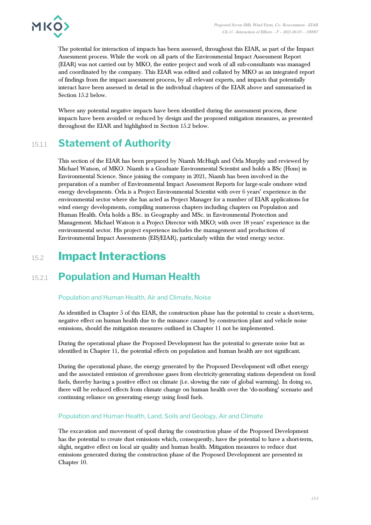

The potential for interaction of impacts has been assessed, throughout this EIAR, as part of the Impact Assessment process. While the work on all parts of the Environmental Impact Assessment Report (EIAR) was not carried out by MKO, the entire project and work of all sub-consultants was managed and coordinated by the company. This EIAR was edited and collated by MKO as an integrated report of findings from the impact assessment process, by all relevant experts, and impacts that potentially interact have been assessed in detail in the individual chapters of the EIAR above and summarised in Section 15.2 below.

Where any potential negative impacts have been identified during the assessment process, these impacts have been avoided or reduced by design and the proposed mitigation measures, as presented throughout the EIAR and highlighted in Section 15.2 below.

### 15.1.1 **Statement of Authority**

This section of the EIAR has been prepared by Niamh McHugh and Órla Murphy and reviewed by Michael Watson, of MKO. Niamh is a Graduate Environmental Scientist and holds a BSc (Hons) in Environmental Science. Since joining the company in 2021, Niamh has been involved in the preparation of a number of Environmental Impact Assessment Reports for large-scale onshore wind energy developments. Órla is a Project Environmental Scientist with over 6 years' experience in the environmental sector where she has acted as Project Manager for a number of EIAR applications for wind energy developments, compiling numerous chapters including chapters on Population and Human Health. Órla holds a BSc. in Geography and MSc. in Environmental Protection and Management. Michael Watson is a Project Director with MKO; with over 18 years' experience in the environmental sector. His project experience includes the management and productions of Environmental Impact Assessments (EIS/EIAR), particularly within the wind energy sector.

## 15.2 **Impact Interactions**

## 15.2.1 **Population and Human Health**

### Population and Human Health, Air and Climate, Noise

As identified in Chapter 5 of this EIAR, the construction phase has the potential to create a short-term, negative effect on human health due to the nuisance caused by construction plant and vehicle noise emissions, should the mitigation measures outlined in Chapter 11 not be implemented.

During the operational phase the Proposed Development has the potential to generate noise but as identified in Chapter 11, the potential effects on population and human health are not significant.

During the operational phase, the energy generated by the Proposed Development will offset energy and the associated emission of greenhouse gases from electricity-generating stations dependent on fossil fuels, thereby having a positive effect on climate (i.e. slowing the rate of global warming). In doing so, there will be reduced effects from climate change on human health over the 'do-nothing' scenario and continuing reliance on generating energy using fossil fuels.

### Population and Human Health, Land, Soils and Geology, Air and Climate

The excavation and movement of spoil during the construction phase of the Proposed Development has the potential to create dust emissions which, consequently, have the potential to have a short-term, slight, negative effect on local air quality and human health. Mitigation measures to reduce dust emissions generated during the construction phase of the Proposed Development are presented in Chapter 10.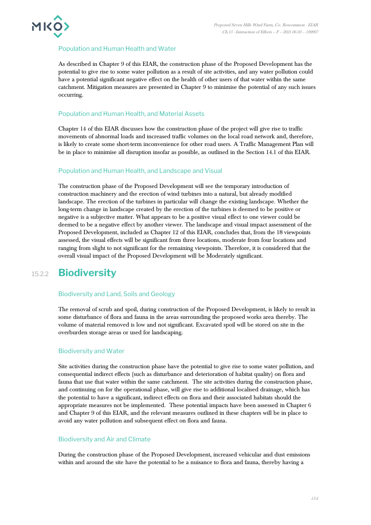

### Population and Human Health and Water

As described in Chapter 9 of this EIAR, the construction phase of the Proposed Development has the potential to give rise to some water pollution as a result of site activities, and any water pollution could have a potential significant negative effect on the health of other users of that water within the same catchment. Mitigation measures are presented in Chapter 9 to minimise the potential of any such issues occurring.

### Population and Human Health, and Material Assets

Chapter 14 of this EIAR discusses how the construction phase of the project will give rise to traffic movements of abnormal loads and increased traffic volumes on the local road network and, therefore, is likely to create some short-term inconvenience for other road users. A Traffic Management Plan will be in place to minimise all disruption insofar as possible, as outlined in the Section 14.1 of this EIAR.

### Population and Human Health, and Landscape and Visual

The construction phase of the Proposed Development will see the temporary introduction of construction machinery and the erection of wind turbines into a natural, but already modified landscape. The erection of the turbines in particular will change the existing landscape. Whether the long-term change in landscape created by the erection of the turbines is deemed to be positive or negative is a subjective matter. What appears to be a positive visual effect to one viewer could be deemed to be a negative effect by another viewer. The landscape and visual impact assessment of the Proposed Development, included as Chapter 12 of this EIAR, concludes that, from the 18 viewpoints assessed, the visual effects will be significant from three locations, moderate from four locations and ranging from slight to not significant for the remaining viewpoints. Therefore, it is considered that the overall visual impact of the Proposed Development will be Moderately significant.

### 15.2.2 **Biodiversity**

#### Biodiversity and Land, Soils and Geology

The removal of scrub and spoil, during construction of the Proposed Development, is likely to result in some disturbance of flora and fauna in the areas surrounding the proposed works area thereby. The volume of material removed is low and not significant. Excavated spoil will be stored on site in the overburden storage areas or used for landscaping.

#### Biodiversity and Water

Site activities during the construction phase have the potential to give rise to some water pollution, and consequential indirect effects (such as disturbance and deterioration of habitat quality) on flora and fauna that use that water within the same catchment. The site activities during the construction phase, and continuing on for the operational phase, will give rise to additional localised drainage, which has the potential to have a significant, indirect effects on flora and their associated habitats should the appropriate measures not be implemented. These potential impacts have been assessed in Chapter 6 and Chapter 9 of this EIAR, and the relevant measures outlined in these chapters will be in place to avoid any water pollution and subsequent effect on flora and fauna.

#### Biodiversity and Air and Climate

During the construction phase of the Proposed Development, increased vehicular and dust emissions within and around the site have the potential to be a nuisance to flora and fauna, thereby having a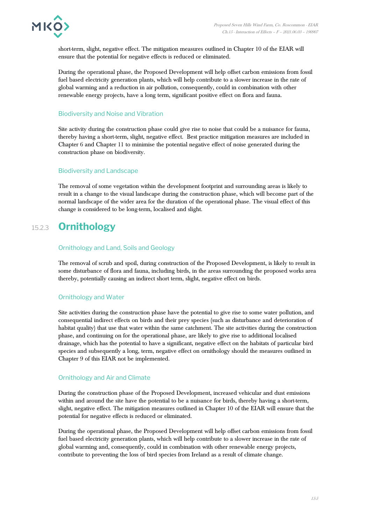

short-term, slight, negative effect. The mitigation measures outlined in Chapter 10 of the EIAR will ensure that the potential for negative effects is reduced or eliminated.

During the operational phase, the Proposed Development will help offset carbon emissions from fossil fuel based electricity generation plants, which will help contribute to a slower increase in the rate of global warming and a reduction in air pollution, consequently, could in combination with other renewable energy projects, have a long term, significant positive effect on flora and fauna.

### Biodiversity and Noise and Vibration

Site activity during the construction phase could give rise to noise that could be a nuisance for fauna, thereby having a short-term, slight, negative effect. Best practice mitigation measures are included in Chapter 6 and Chapter 11 to minimise the potential negative effect of noise generated during the construction phase on biodiversity.

### Biodiversity and Landscape

The removal of some vegetation within the development footprint and surrounding areas is likely to result in a change to the visual landscape during the construction phase, which will become part of the normal landscape of the wider area for the duration of the operational phase. The visual effect of this change is considered to be long-term, localised and slight.

### 15.2.3 **Ornithology**

### Ornithology and Land, Soils and Geology

The removal of scrub and spoil, during construction of the Proposed Development, is likely to result in some disturbance of flora and fauna, including birds, in the areas surrounding the proposed works area thereby, potentially causing an indirect short term, slight, negative effect on birds.

#### Ornithology and Water

Site activities during the construction phase have the potential to give rise to some water pollution, and consequential indirect effects on birds and their prey species (such as disturbance and deterioration of habitat quality) that use that water within the same catchment. The site activities during the construction phase, and continuing on for the operational phase, are likely to give rise to additional localised drainage, which has the potential to have a significant, negative effect on the habitats of particular bird species and subsequently a long, term, negative effect on ornithology should the measures outlined in Chapter 9 of this EIAR not be implemented.

#### Ornithology and Air and Climate

During the construction phase of the Proposed Development, increased vehicular and dust emissions within and around the site have the potential to be a nuisance for birds, thereby having a short-term, slight, negative effect. The mitigation measures outlined in Chapter 10 of the EIAR will ensure that the potential for negative effects is reduced or eliminated.

During the operational phase, the Proposed Development will help offset carbon emissions from fossil fuel based electricity generation plants, which will help contribute to a slower increase in the rate of global warming and, consequently, could in combination with other renewable energy projects, contribute to preventing the loss of bird species from Ireland as a result of climate change.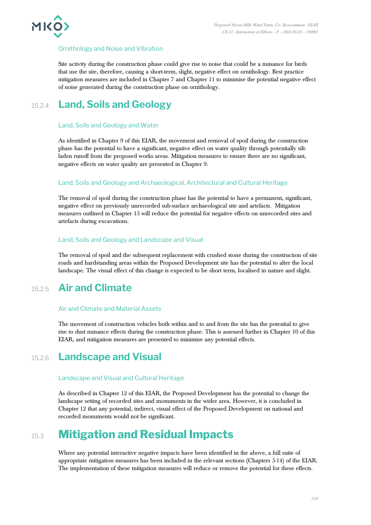

### Ornithology and Noise and Vibration

Site activity during the construction phase could give rise to noise that could be a nuisance for birds that use the site, therefore, causing a short-term, slight, negative effect on ornithology. Best practice mitigation measures are included in Chapter 7 and Chapter 11 to minimise the potential negative effect of noise generated during the construction phase on ornithology.

### 15.2.4 **Land, Soils and Geology**

### Land, Soils and Geology and Water

As identified in Chapter 9 of this EIAR, the movement and removal of spoil during the construction phase has the potential to have a significant, negative effect on water quality through potentially siltladen runoff from the proposed works areas. Mitigation measures to ensure there are no significant, negative effects on water quality are presented in Chapter 9.

### Land, Soils and Geology and Archaeological, Architectural and Cultural Heritage

The removal of spoil during the construction phase has the potential to have a permanent, significant, negative effect on previously unrecorded sub-surface archaeological site and artefacts. Mitigation measures outlined in Chapter 13 will reduce the potential for negative effects on unrecorded sites and artefacts during excavations.

### Land, Soils and Geology and Landscape and Visual

The removal of spoil and the subsequent replacement with crushed stone during the construction of site roads and hardstanding areas within the Proposed Development site has the potential to alter the local landscape. The visual effect of this change is expected to be short term, localised in nature and slight.

### 15.2.5 **Air and Climate**

#### Air and Climate and Material Assets

The movement of construction vehicles both within and to and from the site has the potential to give rise to dust nuisance effects during the construction phase. This is assessed further in Chapter 10 of this EIAR, and mitigation measures are presented to minimise any potential effects.

### 15.2.6 **Landscape and Visual**

### Landscape and Visual and Cultural Heritage

As described in Chapter 12 of this EIAR, the Proposed Development has the potential to change the landscape setting of recorded sites and monuments in the wider area. However, it is concluded in Chapter 12 that any potential, indirect, visual effect of the Proposed Development on national and recorded monuments would not be significant.

## 15.3 **Mitigation and Residual Impacts**

Where any potential interactive negative impacts have been identified in the above, a full suite of appropriate mitigation measures has been included in the relevant sections (Chapters 5-14) of the EIAR. The implementation of these mitigation measures will reduce or remove the potential for these effects.